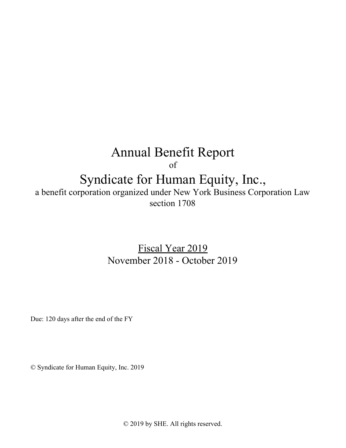# Annual Benefit Report

of

## Syndicate for Human Equity, Inc.,

a benefit corporation organized under New York Business Corporation Law section 1708

> Fiscal Year 2019 November 2018 - October 2019

Due: 120 days after the end of the FY

© Syndicate for Human Equity, Inc. 2019

© 2019 by SHE. All rights reserved.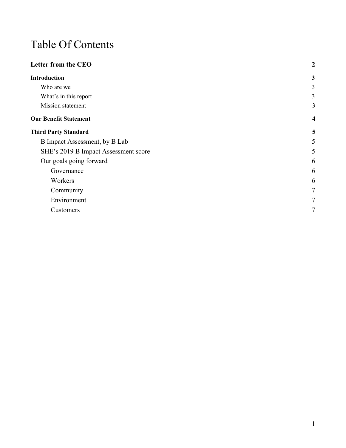## Table Of Contents

| <b>Letter from the CEO</b>           | $\overline{2}$          |
|--------------------------------------|-------------------------|
| <b>Introduction</b>                  | $\mathbf{3}$            |
| Who are we                           | 3                       |
| What's in this report                | $\mathfrak{Z}$          |
| Mission statement                    | 3                       |
| <b>Our Benefit Statement</b>         | $\overline{\mathbf{4}}$ |
| <b>Third Party Standard</b>          | 5                       |
| B Impact Assessment, by B Lab        | 5                       |
| SHE's 2019 B Impact Assessment score | 5                       |
| Our goals going forward              | 6                       |
| Governance                           | 6                       |
| Workers                              | 6                       |
| Community                            | $7\phantom{.0}$         |
| Environment                          | $7\phantom{.0}$         |
| Customers                            | $\tau$                  |
|                                      |                         |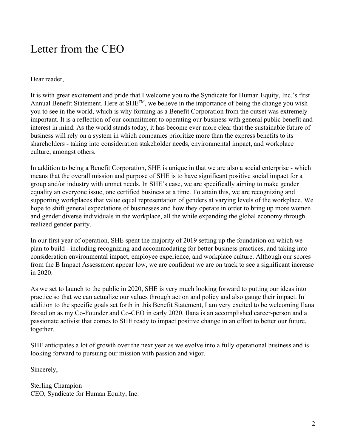### Letter from the CEO

Dear reader,

It is with great excitement and pride that I welcome you to the Syndicate for Human Equity, Inc.'s first Annual Benefit Statement. Here at SHE™, we believe in the importance of being the change you wish you to see in the world, which is why forming as a Benefit Corporation from the outset was extremely important. It is a reflection of our commitment to operating our business with general public benefit and interest in mind. As the world stands today, it has become ever more clear that the sustainable future of business will rely on a system in which companies prioritize more than the express benefits to its shareholders - taking into consideration stakeholder needs, environmental impact, and workplace culture, amongst others.

In addition to being a Benefit Corporation, SHE is unique in that we are also a social enterprise - which means that the overall mission and purpose of SHE is to have significant positive social impact for a group and/or industry with unmet needs. In SHE's case, we are specifically aiming to make gender equality an everyone issue, one certified business at a time. To attain this, we are recognizing and supporting workplaces that value equal representation of genders at varying levels of the workplace. We hope to shift general expectations of businesses and how they operate in order to bring up more women and gender diverse individuals in the workplace, all the while expanding the global economy through realized gender parity.

In our first year of operation, SHE spent the majority of 2019 setting up the foundation on which we plan to build - including recognizing and accommodating for better business practices, and taking into consideration environmental impact, employee experience, and workplace culture. Although our scores from the B Impact Assessment appear low, we are confident we are on track to see a significant increase in 2020.

As we set to launch to the public in 2020, SHE is very much looking forward to putting our ideas into practice so that we can actualize our values through action and policy and also gauge their impact. In addition to the specific goals set forth in this Benefit Statement, I am very excited to be welcoming Ilana Broad on as my Co-Founder and Co-CEO in early 2020. Ilana is an accomplished career-person and a passionate activist that comes to SHE ready to impact positive change in an effort to better our future, together.

SHE anticipates a lot of growth over the next year as we evolve into a fully operational business and is looking forward to pursuing our mission with passion and vigor.

Sincerely,

Sterling Champion CEO, Syndicate for Human Equity, Inc.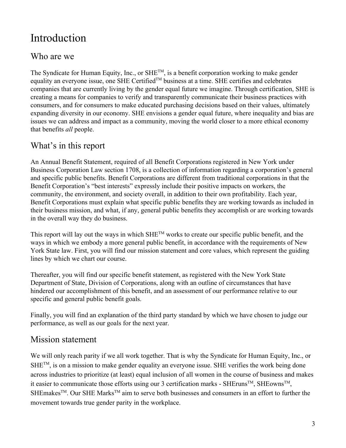## <span id="page-3-0"></span>Introduction

### <span id="page-3-1"></span>Who are we

The Syndicate for Human Equity, Inc., or SHE<sup>TM</sup>, is a benefit corporation working to make gender equality an everyone issue, one SHE Certified<sup>™</sup> business at a time. SHE certifies and celebrates companies that are currently living by the gender equal future we imagine. Through certification, SHE is creating a means for companies to verify and transparently communicate their business practices with consumers, and for consumers to make educated purchasing decisions based on their values, ultimately expanding diversity in our economy. SHE envisions a gender equal future, where inequality and bias are issues we can address and impact as a community, moving the world closer to a more ethical economy that benefits *all* people.

### <span id="page-3-2"></span>What's in this report

An Annual Benefit Statement, required of all Benefit Corporations registered in New York under Business Corporation Law section 1708, is a collection of information regarding a corporation's general and specific public benefits. Benefit Corporations are different from traditional corporations in that the Benefit Corporation's "best interests" expressly include their positive impacts on workers, the community, the environment, and society overall, in addition to their own profitability. Each year, Benefit Corporations must explain what specific public benefits they are working towards as included in their business mission, and what, if any, general public benefits they accomplish or are working towards in the overall way they do business.

This report will lay out the ways in which  $SHE^{TM}$  works to create our specific public benefit, and the ways in which we embody a more general public benefit, in accordance with the requirements of New York State law. First, you will find our mission statement and core values, which represent the guiding lines by which we chart our course.

Thereafter, you will find our specific benefit statement, as registered with the New York State Department of State, Division of Corporations, along with an outline of circumstances that have hindered our accomplishment of this benefit, and an assessment of our performance relative to our specific and general public benefit goals.

Finally, you will find an explanation of the third party standard by which we have chosen to judge our performance, as well as our goals for the next year.

#### <span id="page-3-3"></span>Mission statement

We will only reach parity if we all work together. That is why the Syndicate for Human Equity, Inc., or  $SHE^{TM}$ , is on a mission to make gender equality an everyone issue. SHE verifies the work being done across industries to prioritize (at least) equal inclusion of all women in the course of business and makes it easier to communicate those efforts using our 3 certification marks - SHEruns<sup>TM</sup>, SHEowns<sup>TM</sup>, SHEmakes<sup>™</sup>. Our SHE Marks<sup>™</sup> aim to serve both businesses and consumers in an effort to further the movement towards true gender parity in the workplace.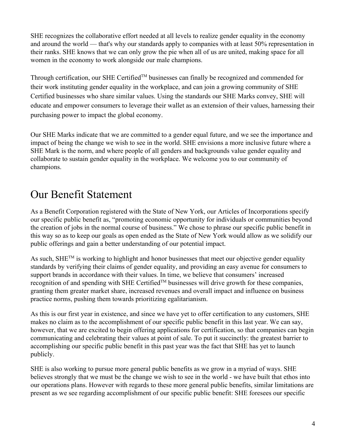SHE recognizes the collaborative effort needed at all levels to realize gender equality in the economy and around the world — that's why our standards apply to companies with at least 50% representation in their ranks. SHE knows that we can only grow the pie when all of us are united, making space for all women in the economy to work alongside our male champions.

Through certification, our SHE Certified™ businesses can finally be recognized and commended for their work instituting gender equality in the workplace, and can join a growing community of SHE Certified businesses who share similar values. Using the standards our SHE Marks convey, SHE will educate and empower consumers to leverage their wallet as an extension of their values, harnessing their purchasing power to impact the global economy.

Our SHE Marks indicate that we are committed to a gender equal future, and we see the importance and impact of being the change we wish to see in the world. SHE envisions a more inclusive future where a SHE Mark is the norm, and where people of all genders and backgrounds value gender equality and collaborate to sustain gender equality in the workplace. We welcome you to our community of champions.

## <span id="page-4-0"></span>Our Benefit Statement

As a Benefit Corporation registered with the State of New York, our Articles of Incorporations specify our specific public benefit as, "promoting economic opportunity for individuals or communities beyond the creation of jobs in the normal course of business." We chose to phrase our specific public benefit in this way so as to keep our goals as open ended as the State of New York would allow as we solidify our public offerings and gain a better understanding of our potential impact.

As such, SHE<sup>TM</sup> is working to highlight and honor businesses that meet our objective gender equality standards by verifying their claims of gender equality, and providing an easy avenue for consumers to support brands in accordance with their values. In time, we believe that consumers' increased recognition of and spending with SHE CertifiedTM businesses will drive growth for these companies, granting them greater market share, increased revenues and overall impact and influence on business practice norms, pushing them towards prioritizing egalitarianism.

As this is our first year in existence, and since we have yet to offer certification to any customers, SHE makes no claim as to the accomplishment of our specific public benefit in this last year. We can say, however, that we are excited to begin offering applications for certification, so that companies can begin communicating and celebrating their values at point of sale. To put it succinctly: the greatest barrier to accomplishing our specific public benefit in this past year was the fact that SHE has yet to launch publicly.

SHE is also working to pursue more general public benefits as we grow in a myriad of ways. SHE believes strongly that we must be the change we wish to see in the world - we have built that ethos into our operations plans. However with regards to these more general public benefits, similar limitations are present as we see regarding accomplishment of our specific public benefit: SHE foresees our specific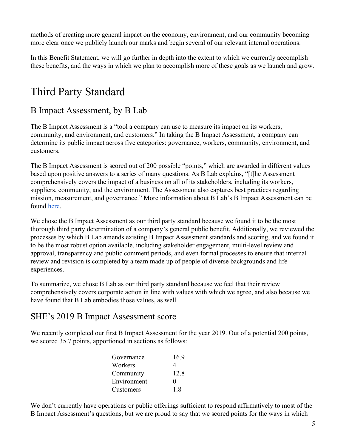methods of creating more general impact on the economy, environment, and our community becoming more clear once we publicly launch our marks and begin several of our relevant internal operations.

In this Benefit Statement, we will go further in depth into the extent to which we currently accomplish these benefits, and the ways in which we plan to accomplish more of these goals as we launch and grow.

## <span id="page-5-0"></span>Third Party Standard

### <span id="page-5-1"></span>B Impact Assessment, by B Lab

The B Impact Assessment is a "tool a company can use to measure its impact on its workers, community, and environment, and customers." In taking the B Impact Assessment, a company can determine its public impact across five categories: governance, workers, community, environment, and customers.

The B Impact Assessment is scored out of 200 possible "points," which are awarded in different values based upon positive answers to a series of many questions. As B Lab explains, "[t]he Assessment comprehensively covers the impact of a business on all of its stakeholders, including its workers, suppliers, community, and the environment. The Assessment also captures best practices regarding mission, measurement, and governance." More information about B Lab's B Impact Assessment can be found [here.](https://bcorporation.net/b-economy)

We chose the B Impact Assessment as our third party standard because we found it to be the most thorough third party determination of a company's general public benefit. Additionally, we reviewed the processes by which B Lab amends existing B Impact Assessment standards and scoring, and we found it to be the most robust option available, including stakeholder engagement, multi-level review and approval, transparency and public comment periods, and even formal processes to ensure that internal review and revision is completed by a team made up of people of diverse backgrounds and life experiences.

To summarize, we chose B Lab as our third party standard because we feel that their review comprehensively covers corporate action in line with values with which we agree, and also because we have found that B Lab embodies those values, as well.

### <span id="page-5-2"></span>SHE's 2019 B Impact Assessment score

We recently completed our first B Impact Assessment for the year 2019. Out of a potential 200 points, we scored 35.7 points, apportioned in sections as follows:

| Governance  | 169               |
|-------------|-------------------|
| Workers     | 4                 |
| Community   | 12.8              |
| Environment | $\mathbf{\Omega}$ |
| Customers   | 18                |

We don't currently have operations or public offerings sufficient to respond affirmatively to most of the B Impact Assessment's questions, but we are proud to say that we scored points for the ways in which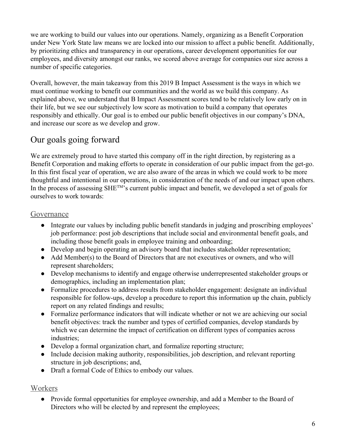we are working to build our values into our operations. Namely, organizing as a Benefit Corporation under New York State law means we are locked into our mission to affect a public benefit. Additionally, by prioritizing ethics and transparency in our operations, career development opportunities for our employees, and diversity amongst our ranks, we scored above average for companies our size across a number of specific categories.

Overall, however, the main takeaway from this 2019 B Impact Assessment is the ways in which we must continue working to benefit our communities and the world as we build this company. As explained above, we understand that B Impact Assessment scores tend to be relatively low early on in their life, but we see our subjectively low score as motivation to build a company that operates responsibly and ethically. Our goal is to embed our public benefit objectives in our company's DNA, and increase our score as we develop and grow.

### <span id="page-6-0"></span>Our goals going forward

We are extremely proud to have started this company off in the right direction, by registering as a Benefit Corporation and making efforts to operate in consideration of our public impact from the get-go. In this first fiscal year of operation, we are also aware of the areas in which we could work to be more thoughtful and intentional in our operations, in consideration of the needs of and our impact upon others. In the process of assessing SHE<sup>TM</sup>'s current public impact and benefit, we developed a set of goals for ourselves to work towards:

#### <span id="page-6-1"></span>Governance

- Integrate our values by including public benefit standards in judging and proscribing employees' job performance: post job descriptions that include social and environmental benefit goals, and including those benefit goals in employee training and onboarding;
- Develop and begin operating an advisory board that includes stakeholder representation;
- Add Member(s) to the Board of Directors that are not executives or owners, and who will represent shareholders;
- Develop mechanisms to identify and engage otherwise underrepresented stakeholder groups or demographics, including an implementation plan;
- Formalize procedures to address results from stakeholder engagement: designate an individual responsible for follow-ups, develop a procedure to report this information up the chain, publicly report on any related findings and results;
- Formalize performance indicators that will indicate whether or not we are achieving our social benefit objectives: track the number and types of certified companies, develop standards by which we can determine the impact of certification on different types of companies across industries;
- Develop a formal organization chart, and formalize reporting structure;
- Include decision making authority, responsibilities, job description, and relevant reporting structure in job descriptions; and,
- Draft a formal Code of Ethics to embody our values.

#### <span id="page-6-2"></span>Workers

• Provide formal opportunities for employee ownership, and add a Member to the Board of Directors who will be elected by and represent the employees;